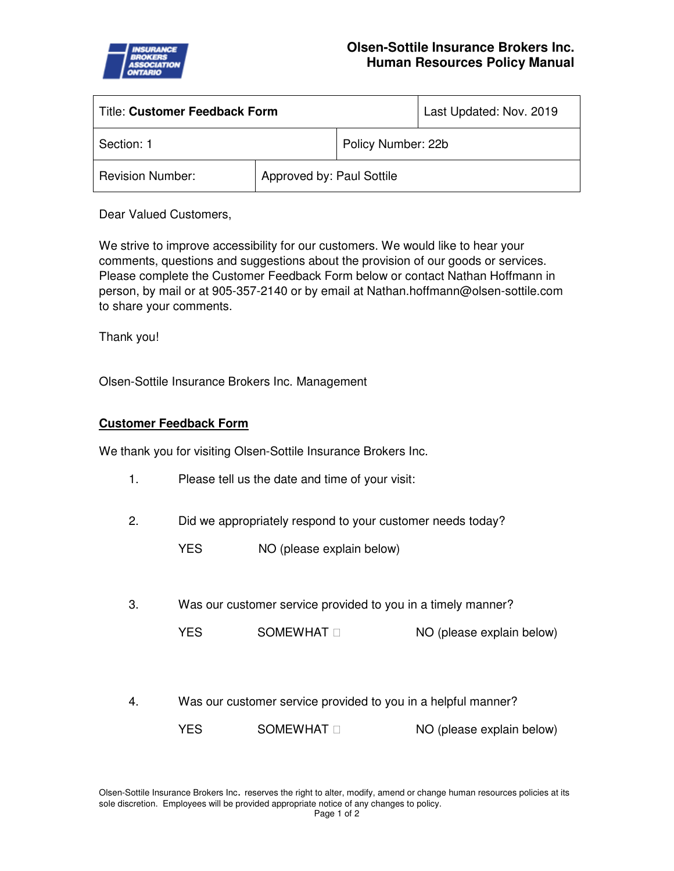

## **Olsen-Sottile Insurance Brokers Inc. Human Resources Policy Manual**

| <b>Title: Customer Feedback Form</b> |                           |                    | Last Updated: Nov. 2019 |
|--------------------------------------|---------------------------|--------------------|-------------------------|
| Section: 1                           |                           | Policy Number: 22b |                         |
| <b>Revision Number:</b>              | Approved by: Paul Sottile |                    |                         |

Dear Valued Customers,

We strive to improve accessibility for our customers. We would like to hear your comments, questions and suggestions about the provision of our goods or services. Please complete the Customer Feedback Form below or contact Nathan Hoffmann in person, by mail or at 905-357-2140 or by email at Nathan.hoffmann@olsen-sottile.com to share your comments.

Thank you!

Olsen-Sottile Insurance Brokers Inc. Management

## **Customer Feedback Form**

We thank you for visiting Olsen-Sottile Insurance Brokers Inc.

- 1. Please tell us the date and time of your visit:
- 2. Did we appropriately respond to your customer needs today?

YES NO (please explain below)

- 3. Was our customer service provided to you in a timely manner?
	- YES SOMEWHAT NO (please explain below)
- 4. Was our customer service provided to you in a helpful manner?

YES SOMEWHAT NO (please explain below)